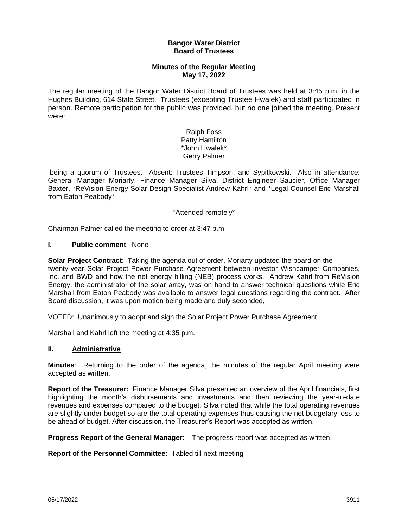### **Bangor Water District Board of Trustees**

## **Minutes of the Regular Meeting May 17, 2022**

The regular meeting of the Bangor Water District Board of Trustees was held at 3:45 p.m. in the Hughes Building, 614 State Street. Trustees (excepting Trustee Hwalek) and staff participated in person. Remote participation for the public was provided, but no one joined the meeting. Present were:

> Ralph Foss Patty Hamilton \*John Hwalek\* Gerry Palmer

,being a quorum of Trustees. Absent: Trustees Timpson, and Sypitkowski. Also in attendance: General Manager Moriarty, Finance Manager Silva, District Engineer Saucier, Office Manager Baxter, \*ReVision Energy Solar Design Specialist Andrew Kahrl\* and \*Legal Counsel Eric Marshall from Eaton Peabody\*

\*Attended remotely\*

Chairman Palmer called the meeting to order at 3:47 p.m.

### **I. Public comment**: None

**Solar Project Contract**: Taking the agenda out of order, Moriarty updated the board on the twenty-year Solar Project Power Purchase Agreement between investor Wishcamper Companies, Inc. and BWD and how the net energy billing (NEB) process works. Andrew Kahrl from ReVision Energy, the administrator of the solar array, was on hand to answer technical questions while Eric Marshall from Eaton Peabody was available to answer legal questions regarding the contract. After Board discussion, it was upon motion being made and duly seconded,

VOTED: Unanimously to adopt and sign the Solar Project Power Purchase Agreement

Marshall and Kahrl left the meeting at 4:35 p.m.

#### **II. Administrative**

**Minutes**: Returning to the order of the agenda, the minutes of the regular April meeting were accepted as written.

**Report of the Treasurer:** Finance Manager Silva presented an overview of the April financials, first highlighting the month's disbursements and investments and then reviewing the year-to-date revenues and expenses compared to the budget. Silva noted that while the total operating revenues are slightly under budget so are the total operating expenses thus causing the net budgetary loss to be ahead of budget. After discussion, the Treasurer's Report was accepted as written.

**Progress Report of the General Manager**: The progress report was accepted as written.

**Report of the Personnel Committee:** Tabled till next meeting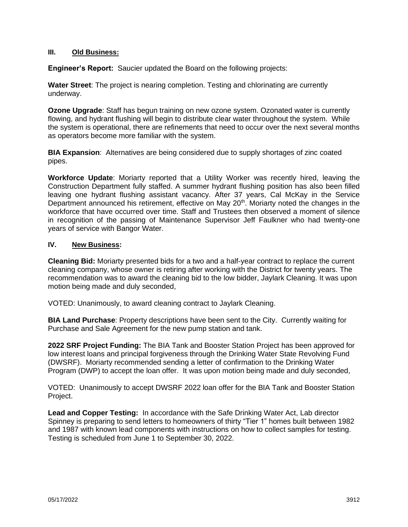## **III. Old Business:**

**Engineer's Report:** Saucier updated the Board on the following projects:

**Water Street**: The project is nearing completion. Testing and chlorinating are currently underway.

**Ozone Upgrade**: Staff has begun training on new ozone system. Ozonated water is currently flowing, and hydrant flushing will begin to distribute clear water throughout the system. While the system is operational, there are refinements that need to occur over the next several months as operators become more familiar with the system.

**BIA Expansion**: Alternatives are being considered due to supply shortages of zinc coated pipes.

**Workforce Update**: Moriarty reported that a Utility Worker was recently hired, leaving the Construction Department fully staffed. A summer hydrant flushing position has also been filled leaving one hydrant flushing assistant vacancy. After 37 years, Cal McKay in the Service Department announced his retirement, effective on May 20<sup>th</sup>. Moriarty noted the changes in the workforce that have occurred over time. Staff and Trustees then observed a moment of silence in recognition of the passing of Maintenance Supervisor Jeff Faulkner who had twenty-one years of service with Bangor Water.

# **IV. New Business:**

**Cleaning Bid:** Moriarty presented bids for a two and a half-year contract to replace the current cleaning company, whose owner is retiring after working with the District for twenty years. The recommendation was to award the cleaning bid to the low bidder, Jaylark Cleaning. It was upon motion being made and duly seconded,

VOTED: Unanimously, to award cleaning contract to Jaylark Cleaning.

**BIA Land Purchase**: Property descriptions have been sent to the City. Currently waiting for Purchase and Sale Agreement for the new pump station and tank.

**2022 SRF Project Funding:** The BIA Tank and Booster Station Project has been approved for low interest loans and principal forgiveness through the Drinking Water State Revolving Fund (DWSRF). Moriarty recommended sending a letter of confirmation to the Drinking Water Program (DWP) to accept the loan offer. It was upon motion being made and duly seconded,

VOTED: Unanimously to accept DWSRF 2022 loan offer for the BIA Tank and Booster Station Project.

**Lead and Copper Testing:** In accordance with the Safe Drinking Water Act, Lab director Spinney is preparing to send letters to homeowners of thirty "Tier 1" homes built between 1982 and 1987 with known lead components with instructions on how to collect samples for testing. Testing is scheduled from June 1 to September 30, 2022.